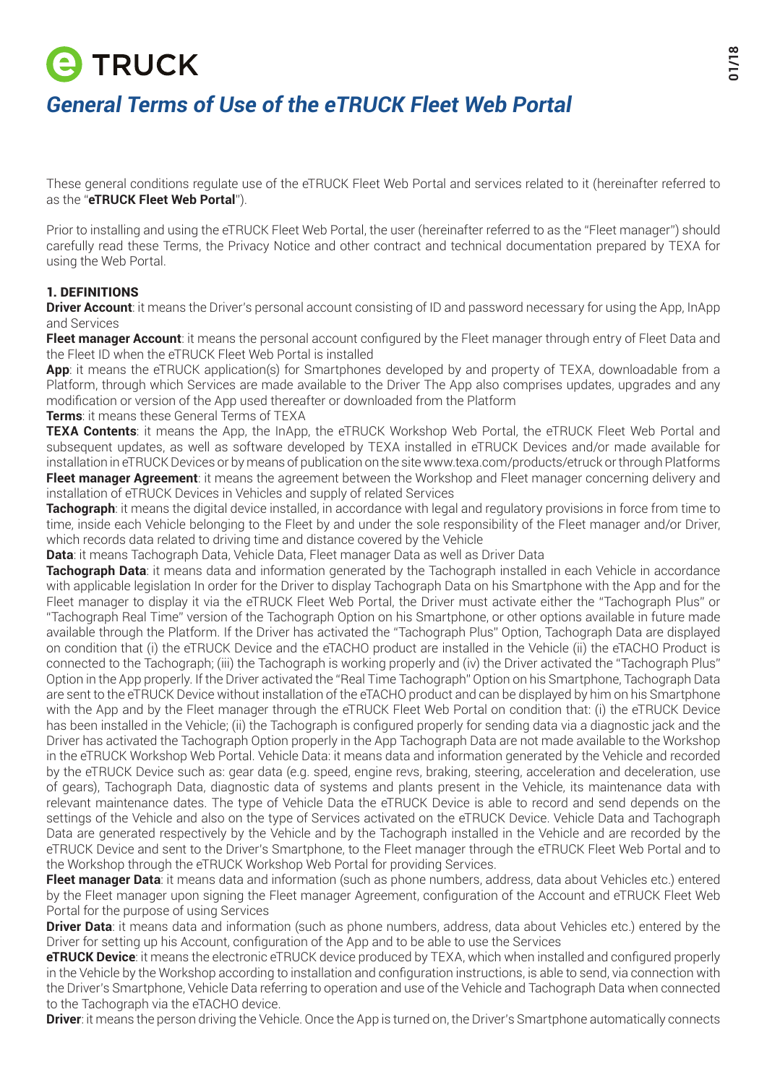# **E TRUCK** *General Terms of Use of the eTRUCK Fleet Web Portal*

These general conditions regulate use of the eTRUCK Fleet Web Portal and services related to it (hereinafter referred to as the "**eTRUCK Fleet Web Portal**").

Prior to installing and using the eTRUCK Fleet Web Portal, the user (hereinafter referred to as the "Fleet manager") should carefully read these Terms, the Privacy Notice and other contract and technical documentation prepared by TEXA for using the Web Portal.

# 1. DEFINITIONS

**Driver Account**: it means the Driver's personal account consisting of ID and password necessary for using the App, InApp and Services

**Fleet manager Account**: it means the personal account configured by the Fleet manager through entry of Fleet Data and the Fleet ID when the eTRUCK Fleet Web Portal is installed

**App**: it means the eTRUCK application(s) for Smartphones developed by and property of TEXA, downloadable from a Platform, through which Services are made available to the Driver The App also comprises updates, upgrades and any modification or version of the App used thereafter or downloaded from the Platform

**Terms**: it means these General Terms of TEXA

**TEXA Contents**: it means the App, the InApp, the eTRUCK Workshop Web Portal, the eTRUCK Fleet Web Portal and subsequent updates, as well as software developed by TEXA installed in eTRUCK Devices and/or made available for installation in eTRUCK Devices or by means of publication on the site www.texa.com/products/etruck or through Platforms **Fleet manager Agreement**: it means the agreement between the Workshop and Fleet manager concerning delivery and installation of eTRUCK Devices in Vehicles and supply of related Services

**Tachograph**: it means the digital device installed, in accordance with legal and regulatory provisions in force from time to time, inside each Vehicle belonging to the Fleet by and under the sole responsibility of the Fleet manager and/or Driver, which records data related to driving time and distance covered by the Vehicle

**Data**: it means Tachograph Data, Vehicle Data, Fleet manager Data as well as Driver Data

**Tachograph Data**: it means data and information generated by the Tachograph installed in each Vehicle in accordance with applicable legislation In order for the Driver to display Tachograph Data on his Smartphone with the App and for the Fleet manager to display it via the eTRUCK Fleet Web Portal, the Driver must activate either the "Tachograph Plus" or "Tachograph Real Time" version of the Tachograph Option on his Smartphone, or other options available in future made available through the Platform. If the Driver has activated the "Tachograph Plus" Option, Tachograph Data are displayed on condition that (i) the eTRUCK Device and the eTACHO product are installed in the Vehicle (ii) the eTACHO Product is connected to the Tachograph; (iii) the Tachograph is working properly and (iv) the Driver activated the "Tachograph Plus" Option in the App properly. If the Driver activated the "Real Time Tachograph" Option on his Smartphone, Tachograph Data are sent to the eTRUCK Device without installation of the eTACHO product and can be displayed by him on his Smartphone with the App and by the Fleet manager through the eTRUCK Fleet Web Portal on condition that: (i) the eTRUCK Device has been installed in the Vehicle; (ii) the Tachograph is configured properly for sending data via a diagnostic jack and the Driver has activated the Tachograph Option properly in the App Tachograph Data are not made available to the Workshop in the eTRUCK Workshop Web Portal. Vehicle Data: it means data and information generated by the Vehicle and recorded by the eTRUCK Device such as: gear data (e.g. speed, engine revs, braking, steering, acceleration and deceleration, use of gears), Tachograph Data, diagnostic data of systems and plants present in the Vehicle, its maintenance data with relevant maintenance dates. The type of Vehicle Data the eTRUCK Device is able to record and send depends on the settings of the Vehicle and also on the type of Services activated on the eTRUCK Device. Vehicle Data and Tachograph Data are generated respectively by the Vehicle and by the Tachograph installed in the Vehicle and are recorded by the eTRUCK Device and sent to the Driver's Smartphone, to the Fleet manager through the eTRUCK Fleet Web Portal and to the Workshop through the eTRUCK Workshop Web Portal for providing Services.

**Fleet manager Data**: it means data and information (such as phone numbers, address, data about Vehicles etc.) entered by the Fleet manager upon signing the Fleet manager Agreement, configuration of the Account and eTRUCK Fleet Web Portal for the purpose of using Services

**Driver Data**: it means data and information (such as phone numbers, address, data about Vehicles etc.) entered by the Driver for setting up his Account, configuration of the App and to be able to use the Services

**eTRUCK Device**: it means the electronic eTRUCK device produced by TEXA, which when installed and configured properly in the Vehicle by the Workshop according to installation and configuration instructions, is able to send, via connection with the Driver's Smartphone, Vehicle Data referring to operation and use of the Vehicle and Tachograph Data when connected to the Tachograph via the eTACHO device.

**Driver**: it means the person driving the Vehicle. Once the App is turned on, the Driver's Smartphone automatically connects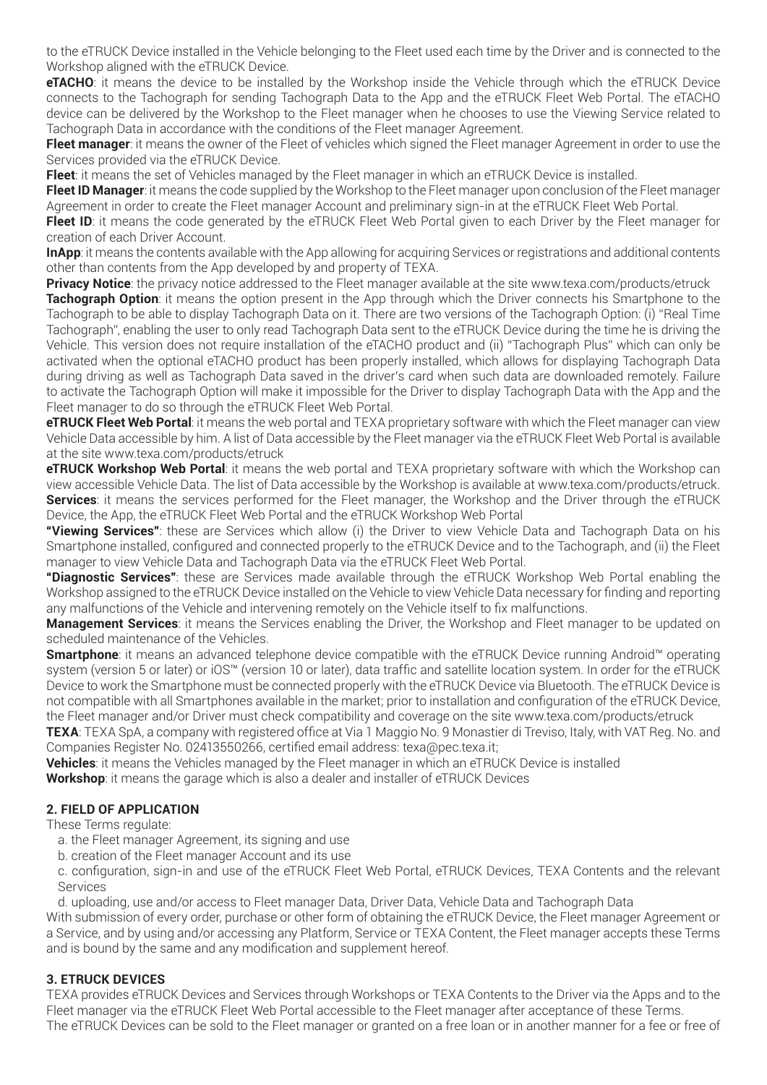to the eTRUCK Device installed in the Vehicle belonging to the Fleet used each time by the Driver and is connected to the Workshop aligned with the eTRUCK Device.

**eTACHO**: it means the device to be installed by the Workshop inside the Vehicle through which the eTRUCK Device connects to the Tachograph for sending Tachograph Data to the App and the eTRUCK Fleet Web Portal. The eTACHO device can be delivered by the Workshop to the Fleet manager when he chooses to use the Viewing Service related to Tachograph Data in accordance with the conditions of the Fleet manager Agreement.

**Fleet manager**: it means the owner of the Fleet of vehicles which signed the Fleet manager Agreement in order to use the Services provided via the eTRUCK Device.

**Fleet**: it means the set of Vehicles managed by the Fleet manager in which an eTRUCK Device is installed.

**Fleet ID Manager**: it means the code supplied by the Workshop to the Fleet manager upon conclusion of the Fleet manager Agreement in order to create the Fleet manager Account and preliminary sign-in at the eTRUCK Fleet Web Portal.

**Fleet ID:** it means the code generated by the eTRUCK Fleet Web Portal given to each Driver by the Fleet manager for creation of each Driver Account.

**InApp**: it means the contents available with the App allowing for acquiring Services or registrations and additional contents other than contents from the App developed by and property of TEXA.

**Privacy Notice**: the privacy notice addressed to the Fleet manager available at the site www.texa.com/products/etruck

**Tachograph Option**: it means the option present in the App through which the Driver connects his Smartphone to the Tachograph to be able to display Tachograph Data on it. There are two versions of the Tachograph Option: (i) "Real Time Tachograph", enabling the user to only read Tachograph Data sent to the eTRUCK Device during the time he is driving the Vehicle. This version does not require installation of the eTACHO product and (ii) "Tachograph Plus" which can only be activated when the optional eTACHO product has been properly installed, which allows for displaying Tachograph Data during driving as well as Tachograph Data saved in the driver's card when such data are downloaded remotely. Failure to activate the Tachograph Option will make it impossible for the Driver to display Tachograph Data with the App and the Fleet manager to do so through the eTRUCK Fleet Web Portal.

**eTRUCK Fleet Web Portal**: it means the web portal and TEXA proprietary software with which the Fleet manager can view Vehicle Data accessible by him. A list of Data accessible by the Fleet manager via the eTRUCK Fleet Web Portal is available at the site www.texa.com/products/etruck

**eTRUCK Workshop Web Portal**: it means the web portal and TEXA proprietary software with which the Workshop can view accessible Vehicle Data. The list of Data accessible by the Workshop is available at www.texa.com/products/etruck. **Services**: it means the services performed for the Fleet manager, the Workshop and the Driver through the eTRUCK Device, the App, the eTRUCK Fleet Web Portal and the eTRUCK Workshop Web Portal

**"Viewing Services"**: these are Services which allow (i) the Driver to view Vehicle Data and Tachograph Data on his Smartphone installed, configured and connected properly to the eTRUCK Device and to the Tachograph, and (ii) the Fleet manager to view Vehicle Data and Tachograph Data via the eTRUCK Fleet Web Portal.

**"Diagnostic Services"**: these are Services made available through the eTRUCK Workshop Web Portal enabling the Workshop assigned to the eTRUCK Device installed on the Vehicle to view Vehicle Data necessary for finding and reporting any malfunctions of the Vehicle and intervening remotely on the Vehicle itself to fix malfunctions.

**Management Services**: it means the Services enabling the Driver, the Workshop and Fleet manager to be updated on scheduled maintenance of the Vehicles.

**Smartphone**: it means an advanced telephone device compatible with the eTRUCK Device running Android™ operating system (version 5 or later) or iOS™ (version 10 or later), data traffic and satellite location system. In order for the eTRUCK Device to work the Smartphone must be connected properly with the eTRUCK Device via Bluetooth. The eTRUCK Device is not compatible with all Smartphones available in the market; prior to installation and configuration of the eTRUCK Device, the Fleet manager and/or Driver must check compatibility and coverage on the site www.texa.com/products/etruck

**TEXA**: TEXA SpA, a company with registered office at Via 1 Maggio No. 9 Monastier di Treviso, Italy, with VAT Reg. No. and Companies Register No. 02413550266, certified email address: texa@pec.texa.it;

**Vehicles**: it means the Vehicles managed by the Fleet manager in which an eTRUCK Device is installed

**Workshop**: it means the garage which is also a dealer and installer of eTRUCK Devices

# **2. FIELD OF APPLICATION**

These Terms regulate:

- a. the Fleet manager Agreement, its signing and use
- b. creation of the Fleet manager Account and its use

c. configuration, sign-in and use of the eTRUCK Fleet Web Portal, eTRUCK Devices, TEXA Contents and the relevant Services

d. uploading, use and/or access to Fleet manager Data, Driver Data, Vehicle Data and Tachograph Data

With submission of every order, purchase or other form of obtaining the eTRUCK Device, the Fleet manager Agreement or a Service, and by using and/or accessing any Platform, Service or TEXA Content, the Fleet manager accepts these Terms and is bound by the same and any modification and supplement hereof.

# **3. ETRUCK DEVICES**

TEXA provides eTRUCK Devices and Services through Workshops or TEXA Contents to the Driver via the Apps and to the Fleet manager via the eTRUCK Fleet Web Portal accessible to the Fleet manager after acceptance of these Terms.

The eTRUCK Devices can be sold to the Fleet manager or granted on a free loan or in another manner for a fee or free of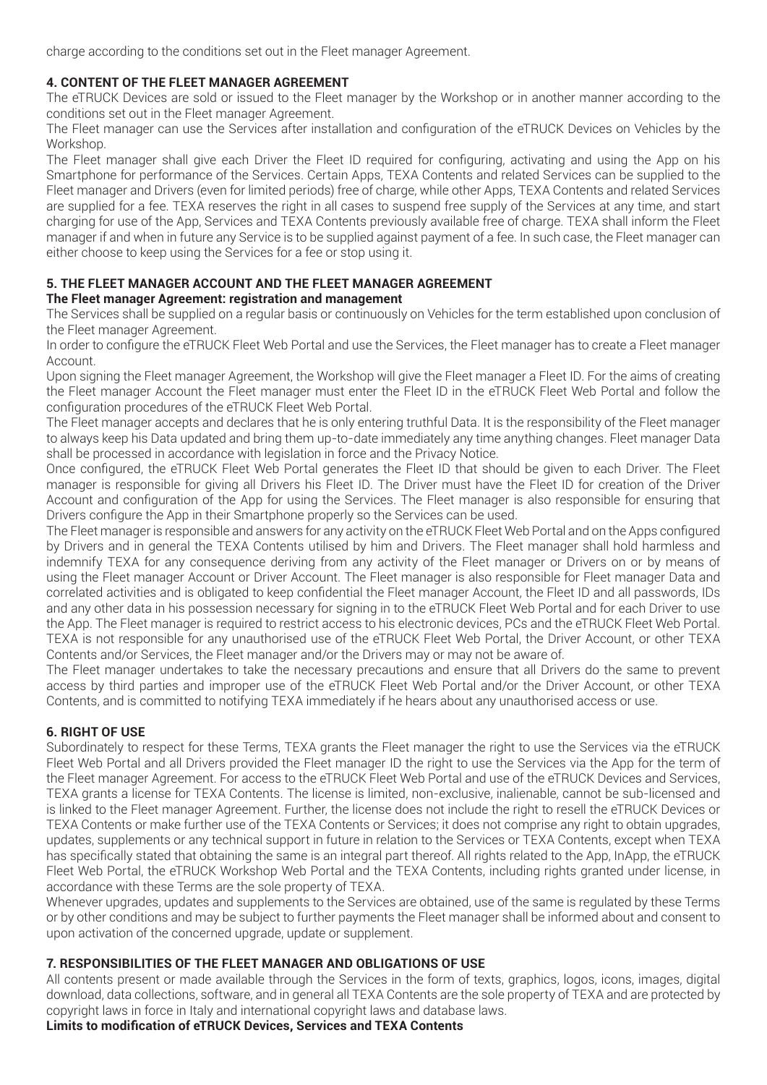charge according to the conditions set out in the Fleet manager Agreement.

# **4. CONTENT OF THE FLEET MANAGER AGREEMENT**

The eTRUCK Devices are sold or issued to the Fleet manager by the Workshop or in another manner according to the conditions set out in the Fleet manager Agreement.

The Fleet manager can use the Services after installation and configuration of the eTRUCK Devices on Vehicles by the Workshop.

The Fleet manager shall give each Driver the Fleet ID required for configuring, activating and using the App on his Smartphone for performance of the Services. Certain Apps, TEXA Contents and related Services can be supplied to the Fleet manager and Drivers (even for limited periods) free of charge, while other Apps, TEXA Contents and related Services are supplied for a fee. TEXA reserves the right in all cases to suspend free supply of the Services at any time, and start charging for use of the App, Services and TEXA Contents previously available free of charge. TEXA shall inform the Fleet manager if and when in future any Service is to be supplied against payment of a fee. In such case, the Fleet manager can either choose to keep using the Services for a fee or stop using it.

# **5. THE FLEET MANAGER ACCOUNT AND THE FLEET MANAGER AGREEMENT**

# **The Fleet manager Agreement: registration and management**

The Services shall be supplied on a regular basis or continuously on Vehicles for the term established upon conclusion of the Fleet manager Agreement.

In order to configure the eTRUCK Fleet Web Portal and use the Services, the Fleet manager has to create a Fleet manager Account.

Upon signing the Fleet manager Agreement, the Workshop will give the Fleet manager a Fleet ID. For the aims of creating the Fleet manager Account the Fleet manager must enter the Fleet ID in the eTRUCK Fleet Web Portal and follow the configuration procedures of the eTRUCK Fleet Web Portal.

The Fleet manager accepts and declares that he is only entering truthful Data. It is the responsibility of the Fleet manager to always keep his Data updated and bring them up-to-date immediately any time anything changes. Fleet manager Data shall be processed in accordance with legislation in force and the Privacy Notice.

Once configured, the eTRUCK Fleet Web Portal generates the Fleet ID that should be given to each Driver. The Fleet manager is responsible for giving all Drivers his Fleet ID. The Driver must have the Fleet ID for creation of the Driver Account and configuration of the App for using the Services. The Fleet manager is also responsible for ensuring that Drivers configure the App in their Smartphone properly so the Services can be used.

The Fleet manager is responsible and answers for any activity on the eTRUCK Fleet Web Portal and on the Apps configured by Drivers and in general the TEXA Contents utilised by him and Drivers. The Fleet manager shall hold harmless and indemnify TEXA for any consequence deriving from any activity of the Fleet manager or Drivers on or by means of using the Fleet manager Account or Driver Account. The Fleet manager is also responsible for Fleet manager Data and correlated activities and is obligated to keep confidential the Fleet manager Account, the Fleet ID and all passwords, IDs and any other data in his possession necessary for signing in to the eTRUCK Fleet Web Portal and for each Driver to use the App. The Fleet manager is required to restrict access to his electronic devices, PCs and the eTRUCK Fleet Web Portal. TEXA is not responsible for any unauthorised use of the eTRUCK Fleet Web Portal, the Driver Account, or other TEXA Contents and/or Services, the Fleet manager and/or the Drivers may or may not be aware of.

The Fleet manager undertakes to take the necessary precautions and ensure that all Drivers do the same to prevent access by third parties and improper use of the eTRUCK Fleet Web Portal and/or the Driver Account, or other TEXA Contents, and is committed to notifying TEXA immediately if he hears about any unauthorised access or use.

# **6. RIGHT OF USE**

Subordinately to respect for these Terms, TEXA grants the Fleet manager the right to use the Services via the eTRUCK Fleet Web Portal and all Drivers provided the Fleet manager ID the right to use the Services via the App for the term of the Fleet manager Agreement. For access to the eTRUCK Fleet Web Portal and use of the eTRUCK Devices and Services, TEXA grants a license for TEXA Contents. The license is limited, non-exclusive, inalienable, cannot be sub-licensed and is linked to the Fleet manager Agreement. Further, the license does not include the right to resell the eTRUCK Devices or TEXA Contents or make further use of the TEXA Contents or Services; it does not comprise any right to obtain upgrades, updates, supplements or any technical support in future in relation to the Services or TEXA Contents, except when TEXA has specifically stated that obtaining the same is an integral part thereof. All rights related to the App, InApp, the eTRUCK Fleet Web Portal, the eTRUCK Workshop Web Portal and the TEXA Contents, including rights granted under license, in accordance with these Terms are the sole property of TEXA.

Whenever upgrades, updates and supplements to the Services are obtained, use of the same is regulated by these Terms or by other conditions and may be subject to further payments the Fleet manager shall be informed about and consent to upon activation of the concerned upgrade, update or supplement.

# **7. RESPONSIBILITIES OF THE FLEET MANAGER AND OBLIGATIONS OF USE**

All contents present or made available through the Services in the form of texts, graphics, logos, icons, images, digital download, data collections, software, and in general all TEXA Contents are the sole property of TEXA and are protected by copyright laws in force in Italy and international copyright laws and database laws.

**Limits to modification of eTRUCK Devices, Services and TEXA Contents**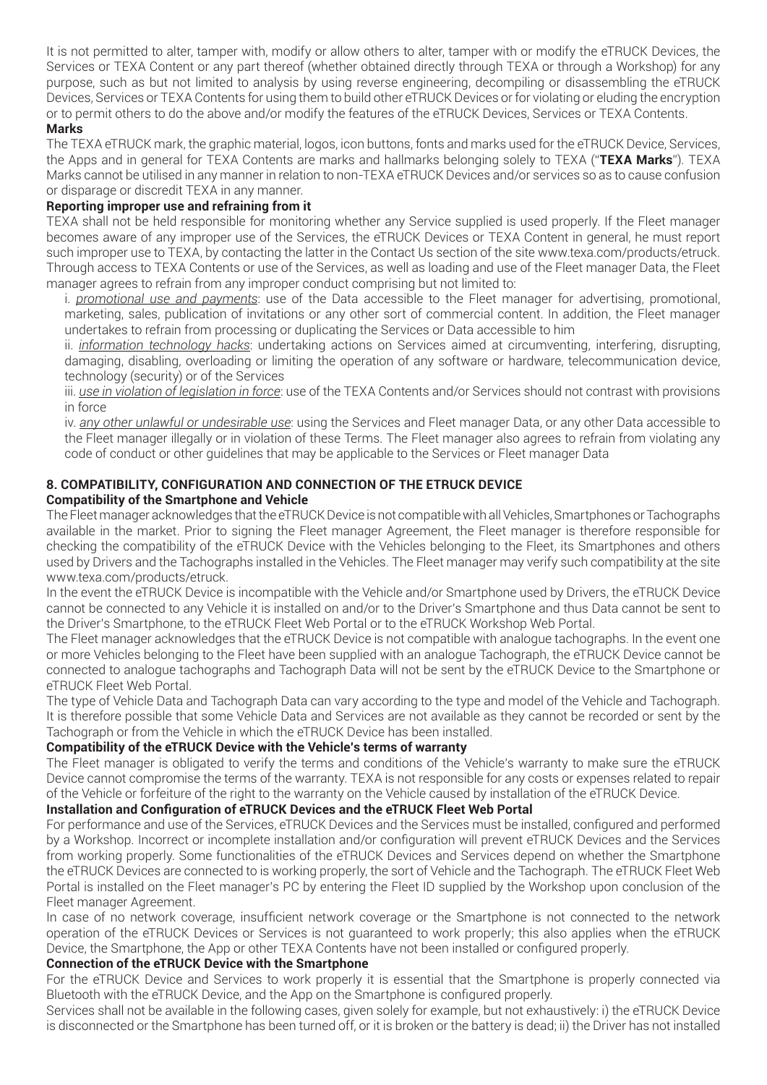It is not permitted to alter, tamper with, modify or allow others to alter, tamper with or modify the eTRUCK Devices, the Services or TEXA Content or any part thereof (whether obtained directly through TEXA or through a Workshop) for any purpose, such as but not limited to analysis by using reverse engineering, decompiling or disassembling the eTRUCK Devices, Services or TEXA Contents for using them to build other eTRUCK Devices or for violating or eluding the encryption or to permit others to do the above and/or modify the features of the eTRUCK Devices, Services or TEXA Contents.

## **Marks**

The TEXA eTRUCK mark, the graphic material, logos, icon buttons, fonts and marks used for the eTRUCK Device, Services, the Apps and in general for TEXA Contents are marks and hallmarks belonging solely to TEXA ("**TEXA Marks**"). TEXA Marks cannot be utilised in any manner in relation to non-TEXA eTRUCK Devices and/or services so as to cause confusion or disparage or discredit TEXA in any manner.

#### **Reporting improper use and refraining from it**

TEXA shall not be held responsible for monitoring whether any Service supplied is used properly. If the Fleet manager becomes aware of any improper use of the Services, the eTRUCK Devices or TEXA Content in general, he must report such improper use to TEXA, by contacting the latter in the Contact Us section of the site www.texa.com/products/etruck. Through access to TEXA Contents or use of the Services, as well as loading and use of the Fleet manager Data, the Fleet manager agrees to refrain from any improper conduct comprising but not limited to:

i. *promotional use and payments*: use of the Data accessible to the Fleet manager for advertising, promotional, marketing, sales, publication of invitations or any other sort of commercial content. In addition, the Fleet manager undertakes to refrain from processing or duplicating the Services or Data accessible to him

ii. *information technology hacks*: undertaking actions on Services aimed at circumventing, interfering, disrupting, damaging, disabling, overloading or limiting the operation of any software or hardware, telecommunication device, technology (security) or of the Services

iii. *use in violation of legislation in force*: use of the TEXA Contents and/or Services should not contrast with provisions in force

iv. *any other unlawful or undesirable use*: using the Services and Fleet manager Data, or any other Data accessible to the Fleet manager illegally or in violation of these Terms. The Fleet manager also agrees to refrain from violating any code of conduct or other guidelines that may be applicable to the Services or Fleet manager Data

# **8. COMPATIBILITY, CONFIGURATION AND CONNECTION OF THE ETRUCK DEVICE**

# **Compatibility of the Smartphone and Vehicle**

The Fleet manager acknowledges that the eTRUCK Device is not compatible with all Vehicles, Smartphones or Tachographs available in the market. Prior to signing the Fleet manager Agreement, the Fleet manager is therefore responsible for checking the compatibility of the eTRUCK Device with the Vehicles belonging to the Fleet, its Smartphones and others used by Drivers and the Tachographs installed in the Vehicles. The Fleet manager may verify such compatibility at the site www.texa.com/products/etruck.

In the event the eTRUCK Device is incompatible with the Vehicle and/or Smartphone used by Drivers, the eTRUCK Device cannot be connected to any Vehicle it is installed on and/or to the Driver's Smartphone and thus Data cannot be sent to the Driver's Smartphone, to the eTRUCK Fleet Web Portal or to the eTRUCK Workshop Web Portal.

The Fleet manager acknowledges that the eTRUCK Device is not compatible with analogue tachographs. In the event one or more Vehicles belonging to the Fleet have been supplied with an analogue Tachograph, the eTRUCK Device cannot be connected to analogue tachographs and Tachograph Data will not be sent by the eTRUCK Device to the Smartphone or eTRUCK Fleet Web Portal.

The type of Vehicle Data and Tachograph Data can vary according to the type and model of the Vehicle and Tachograph. It is therefore possible that some Vehicle Data and Services are not available as they cannot be recorded or sent by the Tachograph or from the Vehicle in which the eTRUCK Device has been installed.

# **Compatibility of the eTRUCK Device with the Vehicle's terms of warranty**

The Fleet manager is obligated to verify the terms and conditions of the Vehicle's warranty to make sure the eTRUCK Device cannot compromise the terms of the warranty. TEXA is not responsible for any costs or expenses related to repair of the Vehicle or forfeiture of the right to the warranty on the Vehicle caused by installation of the eTRUCK Device.

## **Installation and Configuration of eTRUCK Devices and the eTRUCK Fleet Web Portal**

For performance and use of the Services, eTRUCK Devices and the Services must be installed, configured and performed by a Workshop. Incorrect or incomplete installation and/or configuration will prevent eTRUCK Devices and the Services from working properly. Some functionalities of the eTRUCK Devices and Services depend on whether the Smartphone the eTRUCK Devices are connected to is working properly, the sort of Vehicle and the Tachograph. The eTRUCK Fleet Web Portal is installed on the Fleet manager's PC by entering the Fleet ID supplied by the Workshop upon conclusion of the Fleet manager Agreement.

In case of no network coverage, insufficient network coverage or the Smartphone is not connected to the network operation of the eTRUCK Devices or Services is not guaranteed to work properly; this also applies when the eTRUCK Device, the Smartphone, the App or other TEXA Contents have not been installed or configured properly.

## **Connection of the eTRUCK Device with the Smartphone**

For the eTRUCK Device and Services to work properly it is essential that the Smartphone is properly connected via Bluetooth with the eTRUCK Device, and the App on the Smartphone is configured properly.

Services shall not be available in the following cases, given solely for example, but not exhaustively: i) the eTRUCK Device is disconnected or the Smartphone has been turned off, or it is broken or the battery is dead; ii) the Driver has not installed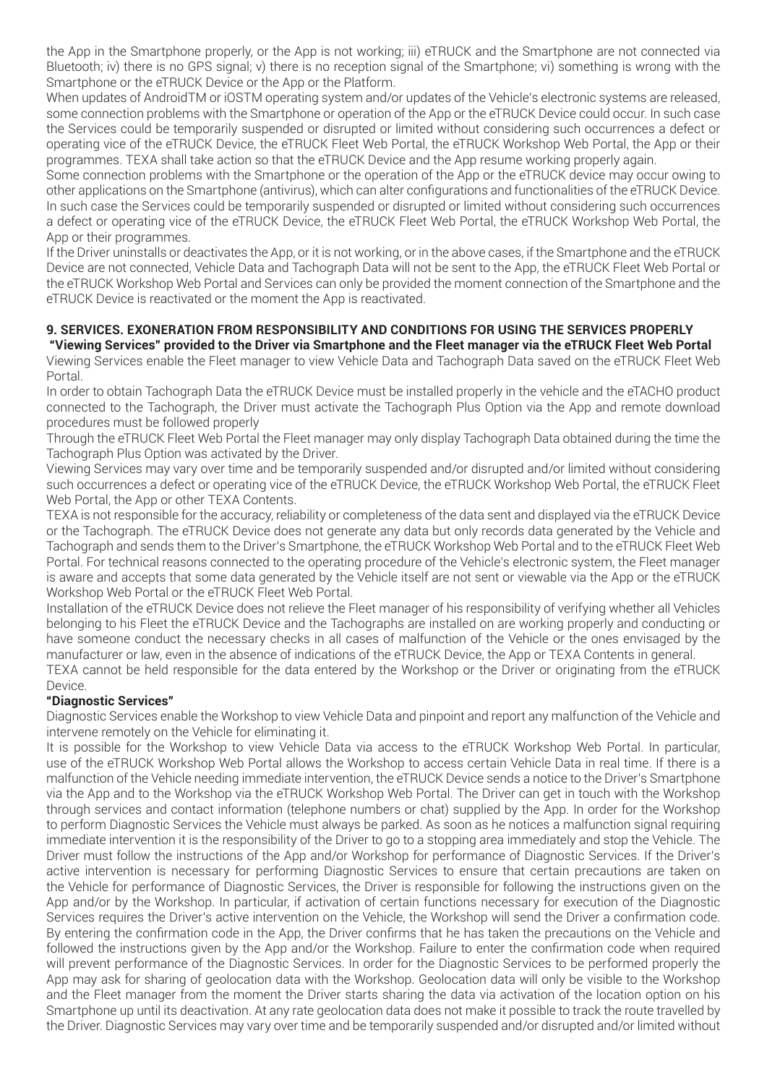the App in the Smartphone properly, or the App is not working; iii) eTRUCK and the Smartphone are not connected via Bluetooth; iv) there is no GPS signal; v) there is no reception signal of the Smartphone; vi) something is wrong with the Smartphone or the eTRUCK Device or the App or the Platform.

When updates of AndroidTM or iOSTM operating system and/or updates of the Vehicle's electronic systems are released, some connection problems with the Smartphone or operation of the App or the eTRUCK Device could occur. In such case the Services could be temporarily suspended or disrupted or limited without considering such occurrences a defect or operating vice of the eTRUCK Device, the eTRUCK Fleet Web Portal, the eTRUCK Workshop Web Portal, the App or their programmes. TEXA shall take action so that the eTRUCK Device and the App resume working properly again.

Some connection problems with the Smartphone or the operation of the App or the eTRUCK device may occur owing to other applications on the Smartphone (antivirus), which can alter configurations and functionalities of the eTRUCK Device. In such case the Services could be temporarily suspended or disrupted or limited without considering such occurrences a defect or operating vice of the eTRUCK Device, the eTRUCK Fleet Web Portal, the eTRUCK Workshop Web Portal, the App or their programmes.

If the Driver uninstalls or deactivates the App, or it is not working, or in the above cases, if the Smartphone and the eTRUCK Device are not connected, Vehicle Data and Tachograph Data will not be sent to the App, the eTRUCK Fleet Web Portal or the eTRUCK Workshop Web Portal and Services can only be provided the moment connection of the Smartphone and the eTRUCK Device is reactivated or the moment the App is reactivated.

#### **9. SERVICES. EXONERATION FROM RESPONSIBILITY AND CONDITIONS FOR USING THE SERVICES PROPERLY "Viewing Services" provided to the Driver via Smartphone and the Fleet manager via the eTRUCK Fleet Web Portal**

Viewing Services enable the Fleet manager to view Vehicle Data and Tachograph Data saved on the eTRUCK Fleet Web Portal.

In order to obtain Tachograph Data the eTRUCK Device must be installed properly in the vehicle and the eTACHO product connected to the Tachograph, the Driver must activate the Tachograph Plus Option via the App and remote download procedures must be followed properly

Through the eTRUCK Fleet Web Portal the Fleet manager may only display Tachograph Data obtained during the time the Tachograph Plus Option was activated by the Driver.

Viewing Services may vary over time and be temporarily suspended and/or disrupted and/or limited without considering such occurrences a defect or operating vice of the eTRUCK Device, the eTRUCK Workshop Web Portal, the eTRUCK Fleet Web Portal, the App or other TEXA Contents.

TEXA is not responsible for the accuracy, reliability or completeness of the data sent and displayed via the eTRUCK Device or the Tachograph. The eTRUCK Device does not generate any data but only records data generated by the Vehicle and Tachograph and sends them to the Driver's Smartphone, the eTRUCK Workshop Web Portal and to the eTRUCK Fleet Web Portal. For technical reasons connected to the operating procedure of the Vehicle's electronic system, the Fleet manager is aware and accepts that some data generated by the Vehicle itself are not sent or viewable via the App or the eTRUCK Workshop Web Portal or the eTRUCK Fleet Web Portal.

Installation of the eTRUCK Device does not relieve the Fleet manager of his responsibility of verifying whether all Vehicles belonging to his Fleet the eTRUCK Device and the Tachographs are installed on are working properly and conducting or have someone conduct the necessary checks in all cases of malfunction of the Vehicle or the ones envisaged by the manufacturer or law, even in the absence of indications of the eTRUCK Device, the App or TEXA Contents in general. TEXA cannot be held responsible for the data entered by the Workshop or the Driver or originating from the eTRUCK

Device.

# **"Diagnostic Services"**

Diagnostic Services enable the Workshop to view Vehicle Data and pinpoint and report any malfunction of the Vehicle and intervene remotely on the Vehicle for eliminating it.

It is possible for the Workshop to view Vehicle Data via access to the eTRUCK Workshop Web Portal. In particular, use of the eTRUCK Workshop Web Portal allows the Workshop to access certain Vehicle Data in real time. If there is a malfunction of the Vehicle needing immediate intervention, the eTRUCK Device sends a notice to the Driver's Smartphone via the App and to the Workshop via the eTRUCK Workshop Web Portal. The Driver can get in touch with the Workshop through services and contact information (telephone numbers or chat) supplied by the App. In order for the Workshop to perform Diagnostic Services the Vehicle must always be parked. As soon as he notices a malfunction signal requiring immediate intervention it is the responsibility of the Driver to go to a stopping area immediately and stop the Vehicle. The Driver must follow the instructions of the App and/or Workshop for performance of Diagnostic Services. If the Driver's active intervention is necessary for performing Diagnostic Services to ensure that certain precautions are taken on the Vehicle for performance of Diagnostic Services, the Driver is responsible for following the instructions given on the App and/or by the Workshop. In particular, if activation of certain functions necessary for execution of the Diagnostic Services requires the Driver's active intervention on the Vehicle, the Workshop will send the Driver a confirmation code. By entering the confirmation code in the App, the Driver confirms that he has taken the precautions on the Vehicle and followed the instructions given by the App and/or the Workshop. Failure to enter the confirmation code when required will prevent performance of the Diagnostic Services. In order for the Diagnostic Services to be performed properly the App may ask for sharing of geolocation data with the Workshop. Geolocation data will only be visible to the Workshop and the Fleet manager from the moment the Driver starts sharing the data via activation of the location option on his Smartphone up until its deactivation. At any rate geolocation data does not make it possible to track the route travelled by the Driver. Diagnostic Services may vary over time and be temporarily suspended and/or disrupted and/or limited without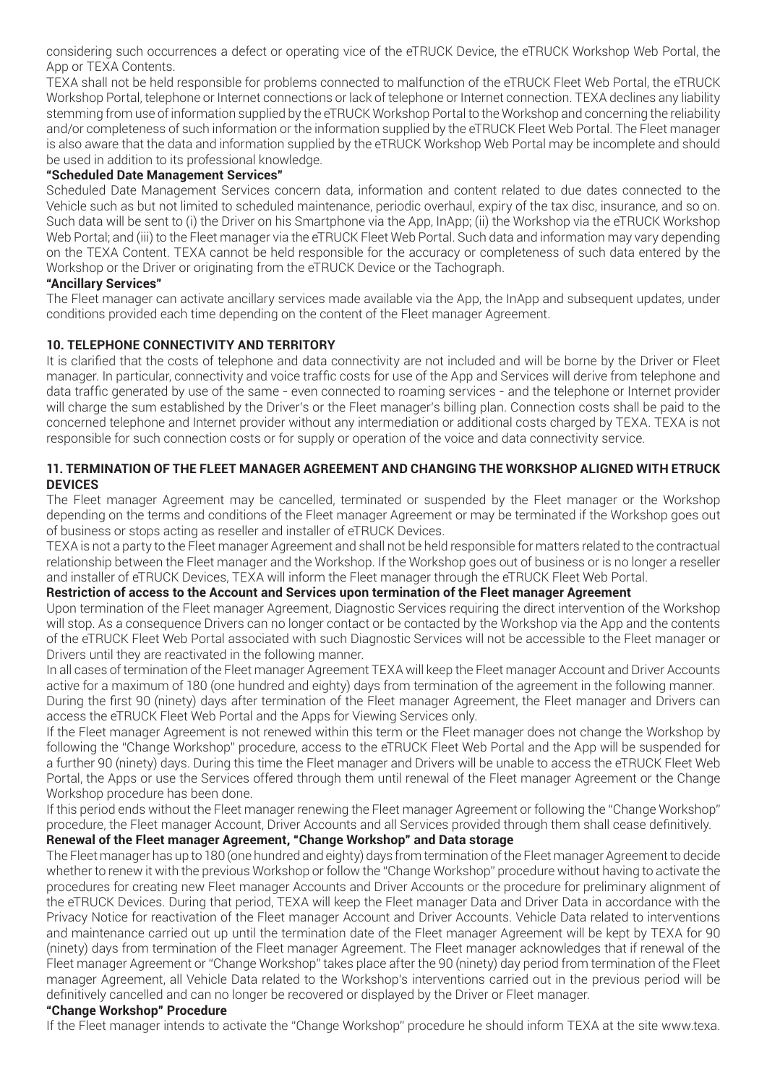considering such occurrences a defect or operating vice of the eTRUCK Device, the eTRUCK Workshop Web Portal, the App or TEXA Contents.

TEXA shall not be held responsible for problems connected to malfunction of the eTRUCK Fleet Web Portal, the eTRUCK Workshop Portal, telephone or Internet connections or lack of telephone or Internet connection. TEXA declines any liability stemming from use of information supplied by the eTRUCK Workshop Portal to the Workshop and concerning the reliability and/or completeness of such information or the information supplied by the eTRUCK Fleet Web Portal. The Fleet manager is also aware that the data and information supplied by the eTRUCK Workshop Web Portal may be incomplete and should be used in addition to its professional knowledge.

#### **"Scheduled Date Management Services"**

Scheduled Date Management Services concern data, information and content related to due dates connected to the Vehicle such as but not limited to scheduled maintenance, periodic overhaul, expiry of the tax disc, insurance, and so on. Such data will be sent to (i) the Driver on his Smartphone via the App, InApp; (ii) the Workshop via the eTRUCK Workshop Web Portal; and (iii) to the Fleet manager via the eTRUCK Fleet Web Portal. Such data and information may vary depending on the TEXA Content. TEXA cannot be held responsible for the accuracy or completeness of such data entered by the Workshop or the Driver or originating from the eTRUCK Device or the Tachograph.

#### **"Ancillary Services"**

The Fleet manager can activate ancillary services made available via the App, the InApp and subsequent updates, under conditions provided each time depending on the content of the Fleet manager Agreement.

#### **10. TELEPHONE CONNECTIVITY AND TERRITORY**

It is clarified that the costs of telephone and data connectivity are not included and will be borne by the Driver or Fleet manager. In particular, connectivity and voice traffic costs for use of the App and Services will derive from telephone and data traffic generated by use of the same - even connected to roaming services - and the telephone or Internet provider will charge the sum established by the Driver's or the Fleet manager's billing plan. Connection costs shall be paid to the concerned telephone and Internet provider without any intermediation or additional costs charged by TEXA. TEXA is not responsible for such connection costs or for supply or operation of the voice and data connectivity service.

#### **11. TERMINATION OF THE FLEET MANAGER AGREEMENT AND CHANGING THE WORKSHOP ALIGNED WITH ETRUCK DEVICES**

The Fleet manager Agreement may be cancelled, terminated or suspended by the Fleet manager or the Workshop depending on the terms and conditions of the Fleet manager Agreement or may be terminated if the Workshop goes out of business or stops acting as reseller and installer of eTRUCK Devices.

TEXA is not a party to the Fleet manager Agreement and shall not be held responsible for matters related to the contractual relationship between the Fleet manager and the Workshop. If the Workshop goes out of business or is no longer a reseller and installer of eTRUCK Devices, TEXA will inform the Fleet manager through the eTRUCK Fleet Web Portal.

# **Restriction of access to the Account and Services upon termination of the Fleet manager Agreement**

Upon termination of the Fleet manager Agreement, Diagnostic Services requiring the direct intervention of the Workshop will stop. As a consequence Drivers can no longer contact or be contacted by the Workshop via the App and the contents of the eTRUCK Fleet Web Portal associated with such Diagnostic Services will not be accessible to the Fleet manager or Drivers until they are reactivated in the following manner.

In all cases of termination of the Fleet manager Agreement TEXA will keep the Fleet manager Account and Driver Accounts active for a maximum of 180 (one hundred and eighty) days from termination of the agreement in the following manner. During the first 90 (ninety) days after termination of the Fleet manager Agreement, the Fleet manager and Drivers can

access the eTRUCK Fleet Web Portal and the Apps for Viewing Services only.

If the Fleet manager Agreement is not renewed within this term or the Fleet manager does not change the Workshop by following the "Change Workshop" procedure, access to the eTRUCK Fleet Web Portal and the App will be suspended for a further 90 (ninety) days. During this time the Fleet manager and Drivers will be unable to access the eTRUCK Fleet Web Portal, the Apps or use the Services offered through them until renewal of the Fleet manager Agreement or the Change Workshop procedure has been done.

If this period ends without the Fleet manager renewing the Fleet manager Agreement or following the "Change Workshop" procedure, the Fleet manager Account, Driver Accounts and all Services provided through them shall cease definitively.

# **Renewal of the Fleet manager Agreement, "Change Workshop" and Data storage**

The Fleet manager has up to 180 (one hundred and eighty) days from termination of the Fleet manager Agreement to decide whether to renew it with the previous Workshop or follow the "Change Workshop" procedure without having to activate the procedures for creating new Fleet manager Accounts and Driver Accounts or the procedure for preliminary alignment of the eTRUCK Devices. During that period, TEXA will keep the Fleet manager Data and Driver Data in accordance with the Privacy Notice for reactivation of the Fleet manager Account and Driver Accounts. Vehicle Data related to interventions and maintenance carried out up until the termination date of the Fleet manager Agreement will be kept by TEXA for 90 (ninety) days from termination of the Fleet manager Agreement. The Fleet manager acknowledges that if renewal of the Fleet manager Agreement or "Change Workshop" takes place after the 90 (ninety) day period from termination of the Fleet manager Agreement, all Vehicle Data related to the Workshop's interventions carried out in the previous period will be definitively cancelled and can no longer be recovered or displayed by the Driver or Fleet manager.

# **"Change Workshop" Procedure**

If the Fleet manager intends to activate the "Change Workshop" procedure he should inform TEXA at the site www.texa.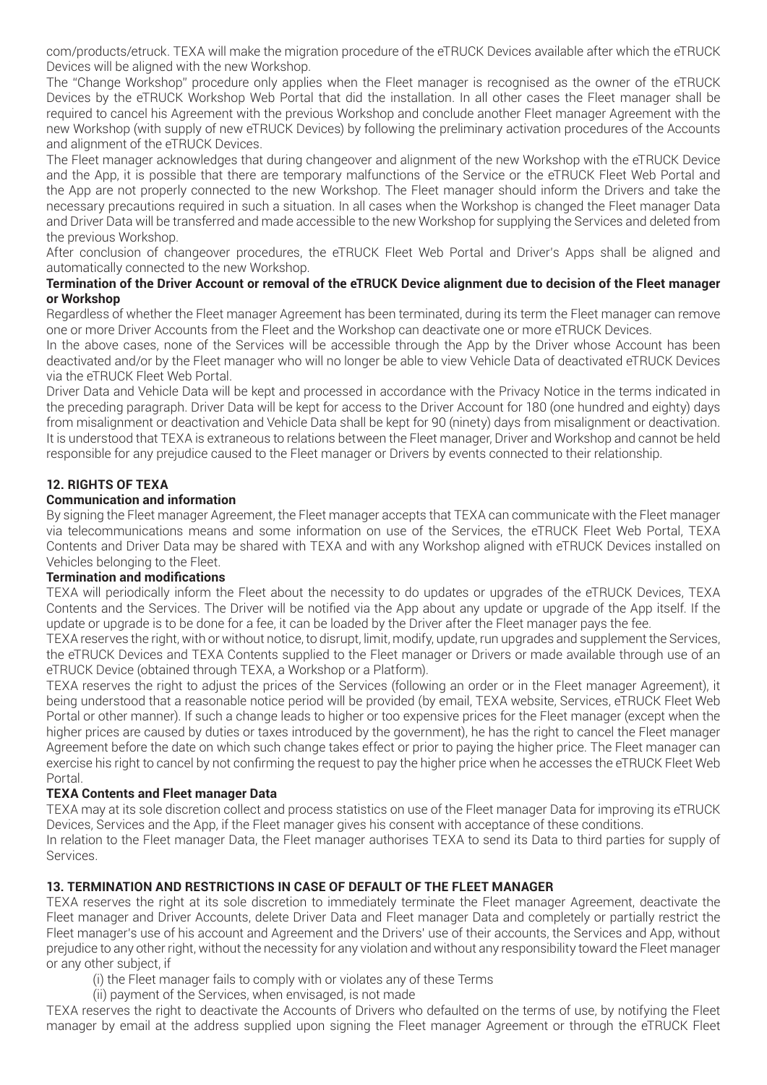com/products/etruck. TEXA will make the migration procedure of the eTRUCK Devices available after which the eTRUCK Devices will be aligned with the new Workshop.

The "Change Workshop" procedure only applies when the Fleet manager is recognised as the owner of the eTRUCK Devices by the eTRUCK Workshop Web Portal that did the installation. In all other cases the Fleet manager shall be required to cancel his Agreement with the previous Workshop and conclude another Fleet manager Agreement with the new Workshop (with supply of new eTRUCK Devices) by following the preliminary activation procedures of the Accounts and alignment of the eTRUCK Devices.

The Fleet manager acknowledges that during changeover and alignment of the new Workshop with the eTRUCK Device and the App, it is possible that there are temporary malfunctions of the Service or the eTRUCK Fleet Web Portal and the App are not properly connected to the new Workshop. The Fleet manager should inform the Drivers and take the necessary precautions required in such a situation. In all cases when the Workshop is changed the Fleet manager Data and Driver Data will be transferred and made accessible to the new Workshop for supplying the Services and deleted from the previous Workshop.

After conclusion of changeover procedures, the eTRUCK Fleet Web Portal and Driver's Apps shall be aligned and automatically connected to the new Workshop.

#### **Termination of the Driver Account or removal of the eTRUCK Device alignment due to decision of the Fleet manager or Workshop**

Regardless of whether the Fleet manager Agreement has been terminated, during its term the Fleet manager can remove one or more Driver Accounts from the Fleet and the Workshop can deactivate one or more eTRUCK Devices.

In the above cases, none of the Services will be accessible through the App by the Driver whose Account has been deactivated and/or by the Fleet manager who will no longer be able to view Vehicle Data of deactivated eTRUCK Devices via the eTRUCK Fleet Web Portal.

Driver Data and Vehicle Data will be kept and processed in accordance with the Privacy Notice in the terms indicated in the preceding paragraph. Driver Data will be kept for access to the Driver Account for 180 (one hundred and eighty) days from misalignment or deactivation and Vehicle Data shall be kept for 90 (ninety) days from misalignment or deactivation. It is understood that TEXA is extraneous to relations between the Fleet manager, Driver and Workshop and cannot be held responsible for any prejudice caused to the Fleet manager or Drivers by events connected to their relationship.

# **12. RIGHTS OF TEXA**

#### **Communication and information**

By signing the Fleet manager Agreement, the Fleet manager accepts that TEXA can communicate with the Fleet manager via telecommunications means and some information on use of the Services, the eTRUCK Fleet Web Portal, TEXA Contents and Driver Data may be shared with TEXA and with any Workshop aligned with eTRUCK Devices installed on Vehicles belonging to the Fleet.

# **Termination and modifications**

TEXA will periodically inform the Fleet about the necessity to do updates or upgrades of the eTRUCK Devices, TEXA Contents and the Services. The Driver will be notified via the App about any update or upgrade of the App itself. If the update or upgrade is to be done for a fee, it can be loaded by the Driver after the Fleet manager pays the fee.

TEXA reserves the right, with or without notice, to disrupt, limit, modify, update, run upgrades and supplement the Services, the eTRUCK Devices and TEXA Contents supplied to the Fleet manager or Drivers or made available through use of an eTRUCK Device (obtained through TEXA, a Workshop or a Platform).

TEXA reserves the right to adjust the prices of the Services (following an order or in the Fleet manager Agreement), it being understood that a reasonable notice period will be provided (by email, TEXA website, Services, eTRUCK Fleet Web Portal or other manner). If such a change leads to higher or too expensive prices for the Fleet manager (except when the higher prices are caused by duties or taxes introduced by the government), he has the right to cancel the Fleet manager Agreement before the date on which such change takes effect or prior to paying the higher price. The Fleet manager can exercise his right to cancel by not confirming the request to pay the higher price when he accesses the eTRUCK Fleet Web Portal.

# **TEXA Contents and Fleet manager Data**

TEXA may at its sole discretion collect and process statistics on use of the Fleet manager Data for improving its eTRUCK Devices, Services and the App, if the Fleet manager gives his consent with acceptance of these conditions.

In relation to the Fleet manager Data, the Fleet manager authorises TEXA to send its Data to third parties for supply of Services.

# **13. TERMINATION AND RESTRICTIONS IN CASE OF DEFAULT OF THE FLEET MANAGER**

TEXA reserves the right at its sole discretion to immediately terminate the Fleet manager Agreement, deactivate the Fleet manager and Driver Accounts, delete Driver Data and Fleet manager Data and completely or partially restrict the Fleet manager's use of his account and Agreement and the Drivers' use of their accounts, the Services and App, without prejudice to any other right, without the necessity for any violation and without any responsibility toward the Fleet manager or any other subject, if

(i) the Fleet manager fails to comply with or violates any of these Terms

(ii) payment of the Services, when envisaged, is not made

TEXA reserves the right to deactivate the Accounts of Drivers who defaulted on the terms of use, by notifying the Fleet manager by email at the address supplied upon signing the Fleet manager Agreement or through the eTRUCK Fleet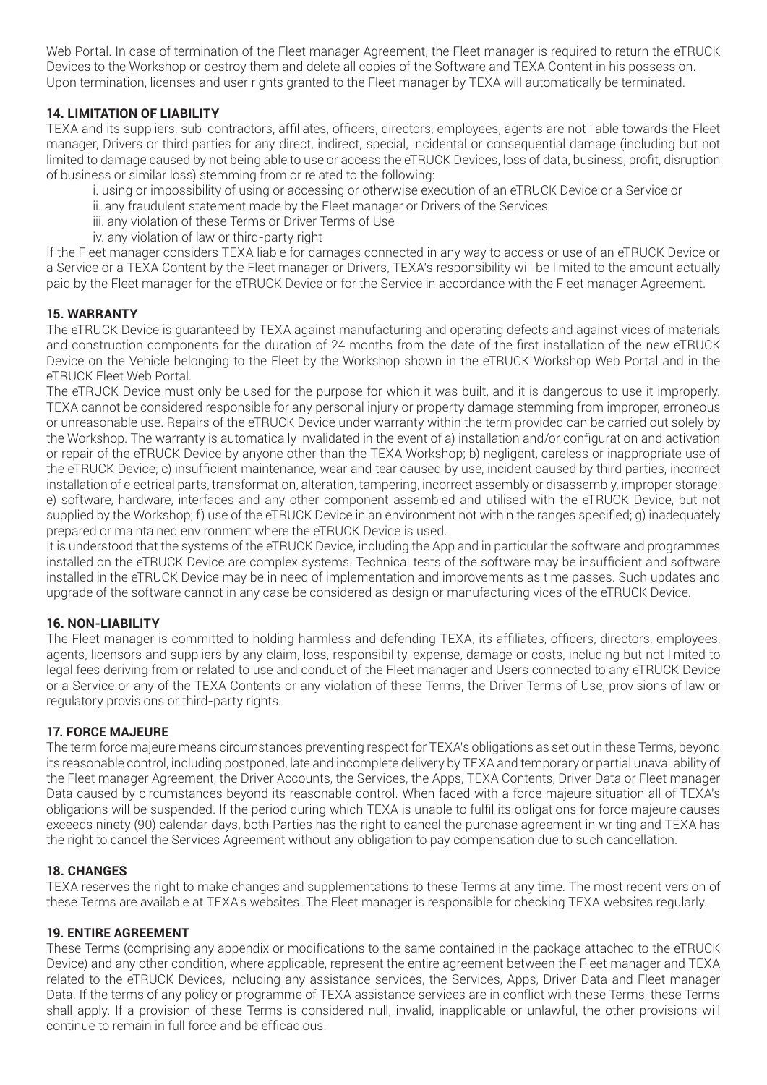Web Portal. In case of termination of the Fleet manager Agreement, the Fleet manager is required to return the eTRUCK Devices to the Workshop or destroy them and delete all copies of the Software and TEXA Content in his possession. Upon termination, licenses and user rights granted to the Fleet manager by TEXA will automatically be terminated.

# **14. LIMITATION OF LIABILITY**

TEXA and its suppliers, sub-contractors, affiliates, officers, directors, employees, agents are not liable towards the Fleet manager, Drivers or third parties for any direct, indirect, special, incidental or consequential damage (including but not limited to damage caused by not being able to use or access the eTRUCK Devices, loss of data, business, profit, disruption of business or similar loss) stemming from or related to the following:

- i. using or impossibility of using or accessing or otherwise execution of an eTRUCK Device or a Service or
- ii. any fraudulent statement made by the Fleet manager or Drivers of the Services
- iii. any violation of these Terms or Driver Terms of Use
- iv. any violation of law or third-party right

If the Fleet manager considers TEXA liable for damages connected in any way to access or use of an eTRUCK Device or a Service or a TEXA Content by the Fleet manager or Drivers, TEXA's responsibility will be limited to the amount actually paid by the Fleet manager for the eTRUCK Device or for the Service in accordance with the Fleet manager Agreement.

#### **15. WARRANTY**

The eTRUCK Device is guaranteed by TEXA against manufacturing and operating defects and against vices of materials and construction components for the duration of 24 months from the date of the first installation of the new eTRUCK Device on the Vehicle belonging to the Fleet by the Workshop shown in the eTRUCK Workshop Web Portal and in the eTRUCK Fleet Web Portal.

The eTRUCK Device must only be used for the purpose for which it was built, and it is dangerous to use it improperly. TEXA cannot be considered responsible for any personal injury or property damage stemming from improper, erroneous or unreasonable use. Repairs of the eTRUCK Device under warranty within the term provided can be carried out solely by the Workshop. The warranty is automatically invalidated in the event of a) installation and/or configuration and activation or repair of the eTRUCK Device by anyone other than the TEXA Workshop; b) negligent, careless or inappropriate use of the eTRUCK Device; c) insufficient maintenance, wear and tear caused by use, incident caused by third parties, incorrect installation of electrical parts, transformation, alteration, tampering, incorrect assembly or disassembly, improper storage; e) software, hardware, interfaces and any other component assembled and utilised with the eTRUCK Device, but not supplied by the Workshop; f) use of the eTRUCK Device in an environment not within the ranges specified; g) inadequately prepared or maintained environment where the eTRUCK Device is used.

It is understood that the systems of the eTRUCK Device, including the App and in particular the software and programmes installed on the eTRUCK Device are complex systems. Technical tests of the software may be insufficient and software installed in the eTRUCK Device may be in need of implementation and improvements as time passes. Such updates and upgrade of the software cannot in any case be considered as design or manufacturing vices of the eTRUCK Device.

#### **16. NON-LIABILITY**

The Fleet manager is committed to holding harmless and defending TEXA, its affiliates, officers, directors, employees, agents, licensors and suppliers by any claim, loss, responsibility, expense, damage or costs, including but not limited to legal fees deriving from or related to use and conduct of the Fleet manager and Users connected to any eTRUCK Device or a Service or any of the TEXA Contents or any violation of these Terms, the Driver Terms of Use, provisions of law or regulatory provisions or third-party rights.

#### **17. FORCE MAJEURE**

The term force majeure means circumstances preventing respect for TEXA's obligations as set out in these Terms, beyond its reasonable control, including postponed, late and incomplete delivery by TEXA and temporary or partial unavailability of the Fleet manager Agreement, the Driver Accounts, the Services, the Apps, TEXA Contents, Driver Data or Fleet manager Data caused by circumstances beyond its reasonable control. When faced with a force majeure situation all of TEXA's obligations will be suspended. If the period during which TEXA is unable to fulfil its obligations for force majeure causes exceeds ninety (90) calendar days, both Parties has the right to cancel the purchase agreement in writing and TEXA has the right to cancel the Services Agreement without any obligation to pay compensation due to such cancellation.

#### **18. CHANGES**

TEXA reserves the right to make changes and supplementations to these Terms at any time. The most recent version of these Terms are available at TEXA's websites. The Fleet manager is responsible for checking TEXA websites regularly.

#### **19. ENTIRE AGREEMENT**

These Terms (comprising any appendix or modifications to the same contained in the package attached to the eTRUCK Device) and any other condition, where applicable, represent the entire agreement between the Fleet manager and TEXA related to the eTRUCK Devices, including any assistance services, the Services, Apps, Driver Data and Fleet manager Data. If the terms of any policy or programme of TEXA assistance services are in conflict with these Terms, these Terms shall apply. If a provision of these Terms is considered null, invalid, inapplicable or unlawful, the other provisions will continue to remain in full force and be efficacious.